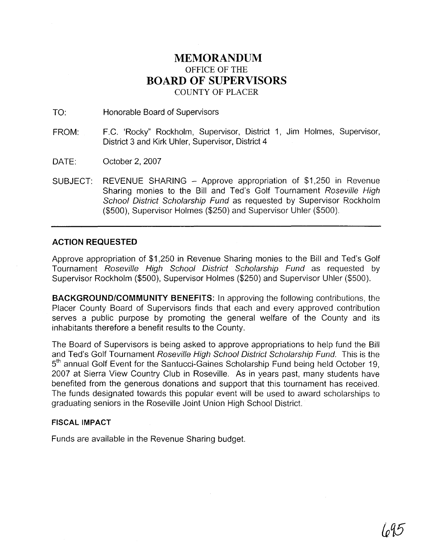## **MEMORANDUM**  OFFICE OF THE **BOARD OF SUPERVISORS**  COUNTY OF PLACER

TO: Honorable Board of Supervisors

- FROM: F.C. 'Rocky" Rockholm, Supervisor, District 1, Jim Holmes, Supervisor, District 3 and Kirk Uhler, Supervisor, District 4
- DATE: October 2, 2007
- SUBJECT: REVENUE SHARING Approve appropriation of \$1,250 in Revenue Sharing monies to the Bill and Ted's Golf Tournament Roseville High School District Scholarship Fund as requested by Supervisor Rockholm (\$500), Supervisor Holmes (\$250) and Supervisor Uhler (\$500).

### **ACTION REQUESTED**

Approve appropriation of \$1,250 in Revenue Sharing monies to the Bill and Ted's Golf Tournament Roseville High School District Scholarship Fund as requested by Supervisor Rockholm (\$500), Supervisor Holmes (\$250) and Supervisor Uhler (\$500).

**BACKGROUNDICOMMUNITY BENEFITS:** In approving the following contributions, the Placer County Board of Supervisors finds that each and every approved contribution serves a public purpose by promoting the general welfare of the County and its inhabitants therefore a benefit results to the County.

The Board of Supervisors is being asked to approve appropriations to help fund the Bill and Ted's Golf Tournament Roseville High School District Scholarship Fund. This is the 5<sup>th</sup> annual Golf Event for the Santucci-Gaines Scholarship Fund being held October 19, 2007 at Sierra View Country Club in Roseville. As in years past, many students have benefited from the generous donations and support that this tournament has received. The funds designated towards this popular event will be used to award scholarships to graduating seniors in the Roseville Joint Union High School District.

#### **FISCAL IMPACT**

Funds are available in the Revenue Sharing budget.